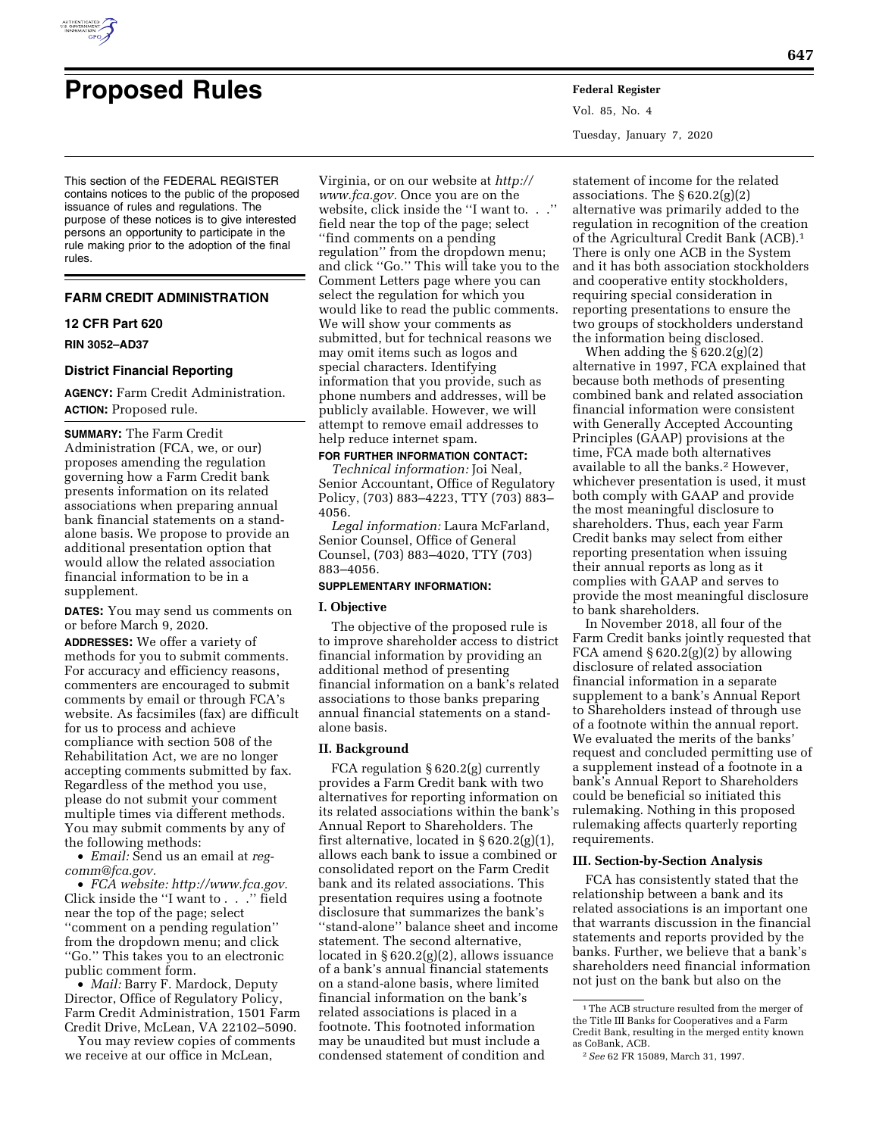

# **Proposed Rules Federal Register**

This section of the FEDERAL REGISTER contains notices to the public of the proposed issuance of rules and regulations. The purpose of these notices is to give interested persons an opportunity to participate in the rule making prior to the adoption of the final rules.

## **FARM CREDIT ADMINISTRATION**

#### **12 CFR Part 620**

**RIN 3052–AD37** 

## **District Financial Reporting**

**AGENCY:** Farm Credit Administration. **ACTION:** Proposed rule.

**SUMMARY:** The Farm Credit Administration (FCA, we, or our) proposes amending the regulation governing how a Farm Credit bank presents information on its related associations when preparing annual bank financial statements on a standalone basis. We propose to provide an additional presentation option that would allow the related association financial information to be in a supplement.

**DATES:** You may send us comments on or before March 9, 2020.

**ADDRESSES:** We offer a variety of methods for you to submit comments. For accuracy and efficiency reasons, commenters are encouraged to submit comments by email or through FCA's website. As facsimiles (fax) are difficult for us to process and achieve compliance with section 508 of the Rehabilitation Act, we are no longer accepting comments submitted by fax. Regardless of the method you use, please do not submit your comment multiple times via different methods. You may submit comments by any of the following methods:

• *Email:* Send us an email at *[reg](mailto:reg-comm@fca.gov)[comm@fca.gov.](mailto:reg-comm@fca.gov)* 

• *FCA website: <http://www.fca.gov>.*  Click inside the ''I want to . . .'' field near the top of the page; select ''comment on a pending regulation'' from the dropdown menu; and click ''Go.'' This takes you to an electronic public comment form.

• *Mail:* Barry F. Mardock, Deputy Director, Office of Regulatory Policy, Farm Credit Administration, 1501 Farm Credit Drive, McLean, VA 22102–5090.

You may review copies of comments we receive at our office in McLean,

Virginia, or on our website at *[http://](http://www.fca.gov) [www.fca.gov.](http://www.fca.gov)* Once you are on the website, click inside the "I want to... field near the top of the page; select ''find comments on a pending regulation'' from the dropdown menu; and click ''Go.'' This will take you to the Comment Letters page where you can select the regulation for which you would like to read the public comments. We will show your comments as submitted, but for technical reasons we may omit items such as logos and special characters. Identifying information that you provide, such as phone numbers and addresses, will be publicly available. However, we will attempt to remove email addresses to help reduce internet spam.

# **FOR FURTHER INFORMATION CONTACT:**

*Technical information:* Joi Neal, Senior Accountant, Office of Regulatory Policy, (703) 883–4223, TTY (703) 883– 4056.

*Legal information:* Laura McFarland, Senior Counsel, Office of General Counsel, (703) 883–4020, TTY (703) 883–4056.

### **SUPPLEMENTARY INFORMATION:**

#### **I. Objective**

The objective of the proposed rule is to improve shareholder access to district financial information by providing an additional method of presenting financial information on a bank's related associations to those banks preparing annual financial statements on a standalone basis.

#### **II. Background**

FCA regulation § 620.2(g) currently provides a Farm Credit bank with two alternatives for reporting information on its related associations within the bank's Annual Report to Shareholders. The first alternative, located in § 620.2(g)(1), allows each bank to issue a combined or consolidated report on the Farm Credit bank and its related associations. This presentation requires using a footnote disclosure that summarizes the bank's ''stand-alone'' balance sheet and income statement. The second alternative, located in § 620.2(g)(2), allows issuance of a bank's annual financial statements on a stand-alone basis, where limited financial information on the bank's related associations is placed in a footnote. This footnoted information may be unaudited but must include a condensed statement of condition and

Vol. 85, No. 4 Tuesday, January 7, 2020

statement of income for the related associations. The  $\S 620.2(g)(2)$ alternative was primarily added to the regulation in recognition of the creation of the Agricultural Credit Bank (ACB).1 There is only one ACB in the System and it has both association stockholders and cooperative entity stockholders, requiring special consideration in reporting presentations to ensure the two groups of stockholders understand the information being disclosed.

When adding the  $\S 620.2(g)(2)$ alternative in 1997, FCA explained that because both methods of presenting combined bank and related association financial information were consistent with Generally Accepted Accounting Principles (GAAP) provisions at the time, FCA made both alternatives available to all the banks.2 However, whichever presentation is used, it must both comply with GAAP and provide the most meaningful disclosure to shareholders. Thus, each year Farm Credit banks may select from either reporting presentation when issuing their annual reports as long as it complies with GAAP and serves to provide the most meaningful disclosure to bank shareholders.

In November 2018, all four of the Farm Credit banks jointly requested that FCA amend  $\S 620.2(g)(2)$  by allowing disclosure of related association financial information in a separate supplement to a bank's Annual Report to Shareholders instead of through use of a footnote within the annual report. We evaluated the merits of the banks' request and concluded permitting use of a supplement instead of a footnote in a bank's Annual Report to Shareholders could be beneficial so initiated this rulemaking. Nothing in this proposed rulemaking affects quarterly reporting requirements.

# **III. Section-by-Section Analysis**

FCA has consistently stated that the relationship between a bank and its related associations is an important one that warrants discussion in the financial statements and reports provided by the banks. Further, we believe that a bank's shareholders need financial information not just on the bank but also on the

<sup>&</sup>lt;sup>1</sup>The ACB structure resulted from the merger of the Title III Banks for Cooperatives and a Farm Credit Bank, resulting in the merged entity known as CoBank, ACB.

<sup>2</sup>*See* 62 FR 15089, March 31, 1997.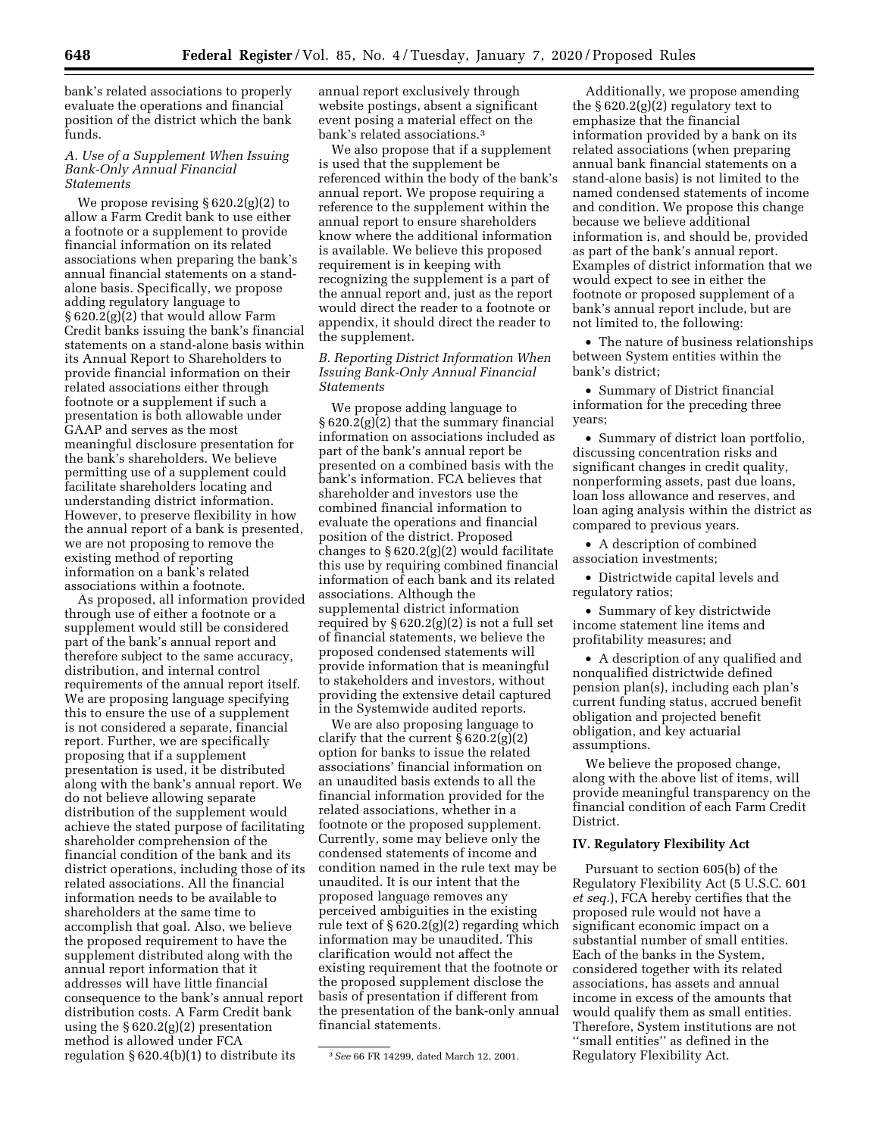bank's related associations to properly evaluate the operations and financial position of the district which the bank funds.

### *A. Use of a Supplement When Issuing Bank-Only Annual Financial Statements*

We propose revising § 620.2(g)(2) to allow a Farm Credit bank to use either a footnote or a supplement to provide financial information on its related associations when preparing the bank's annual financial statements on a standalone basis. Specifically, we propose adding regulatory language to § 620.2(g)(2) that would allow Farm Credit banks issuing the bank's financial statements on a stand-alone basis within its Annual Report to Shareholders to provide financial information on their related associations either through footnote or a supplement if such a presentation is both allowable under GAAP and serves as the most meaningful disclosure presentation for the bank's shareholders. We believe permitting use of a supplement could facilitate shareholders locating and understanding district information. However, to preserve flexibility in how the annual report of a bank is presented, we are not proposing to remove the existing method of reporting information on a bank's related associations within a footnote.

As proposed, all information provided through use of either a footnote or a supplement would still be considered part of the bank's annual report and therefore subject to the same accuracy, distribution, and internal control requirements of the annual report itself. We are proposing language specifying this to ensure the use of a supplement is not considered a separate, financial report. Further, we are specifically proposing that if a supplement presentation is used, it be distributed along with the bank's annual report. We do not believe allowing separate distribution of the supplement would achieve the stated purpose of facilitating shareholder comprehension of the financial condition of the bank and its district operations, including those of its related associations. All the financial information needs to be available to shareholders at the same time to accomplish that goal. Also, we believe the proposed requirement to have the supplement distributed along with the annual report information that it addresses will have little financial consequence to the bank's annual report distribution costs. A Farm Credit bank using the § 620.2(g)(2) presentation method is allowed under FCA regulation § 620.4(b)(1) to distribute its

annual report exclusively through website postings, absent a significant event posing a material effect on the bank's related associations.3

We also propose that if a supplement is used that the supplement be referenced within the body of the bank's annual report. We propose requiring a reference to the supplement within the annual report to ensure shareholders know where the additional information is available. We believe this proposed requirement is in keeping with recognizing the supplement is a part of the annual report and, just as the report would direct the reader to a footnote or appendix, it should direct the reader to the supplement.

### *B. Reporting District Information When Issuing Bank-Only Annual Financial Statements*

We propose adding language to § 620.2(g)(2) that the summary financial information on associations included as part of the bank's annual report be presented on a combined basis with the bank's information. FCA believes that shareholder and investors use the combined financial information to evaluate the operations and financial position of the district. Proposed changes to § 620.2(g)(2) would facilitate this use by requiring combined financial information of each bank and its related associations. Although the supplemental district information required by  $\S 620.2(g)(2)$  is not a full set of financial statements, we believe the proposed condensed statements will provide information that is meaningful to stakeholders and investors, without providing the extensive detail captured in the Systemwide audited reports.

We are also proposing language to clarify that the current  $\S 620.2(g)(2)$ option for banks to issue the related associations' financial information on an unaudited basis extends to all the financial information provided for the related associations, whether in a footnote or the proposed supplement. Currently, some may believe only the condensed statements of income and condition named in the rule text may be unaudited. It is our intent that the proposed language removes any perceived ambiguities in the existing rule text of § 620.2(g)(2) regarding which information may be unaudited. This clarification would not affect the existing requirement that the footnote or the proposed supplement disclose the basis of presentation if different from the presentation of the bank-only annual financial statements.

Additionally, we propose amending the  $\S 620.2(g)(2)$  regulatory text to emphasize that the financial information provided by a bank on its related associations (when preparing annual bank financial statements on a stand-alone basis) is not limited to the named condensed statements of income and condition. We propose this change because we believe additional information is, and should be, provided as part of the bank's annual report. Examples of district information that we would expect to see in either the footnote or proposed supplement of a bank's annual report include, but are not limited to, the following:

• The nature of business relationships between System entities within the bank's district;

• Summary of District financial information for the preceding three years;

• Summary of district loan portfolio, discussing concentration risks and significant changes in credit quality, nonperforming assets, past due loans, loan loss allowance and reserves, and loan aging analysis within the district as compared to previous years.

• A description of combined association investments;

• Districtwide capital levels and regulatory ratios;

• Summary of key districtwide income statement line items and profitability measures; and

• A description of any qualified and nonqualified districtwide defined pension plan(s), including each plan's current funding status, accrued benefit obligation and projected benefit obligation, and key actuarial assumptions.

We believe the proposed change, along with the above list of items, will provide meaningful transparency on the financial condition of each Farm Credit District.

# **IV. Regulatory Flexibility Act**

Pursuant to section 605(b) of the Regulatory Flexibility Act (5 U.S.C. 601 *et seq.*), FCA hereby certifies that the proposed rule would not have a significant economic impact on a substantial number of small entities. Each of the banks in the System, considered together with its related associations, has assets and annual income in excess of the amounts that would qualify them as small entities. Therefore, System institutions are not ''small entities'' as defined in the Regulatory Flexibility Act.

<sup>3</sup>*See* 66 FR 14299, dated March 12, 2001.